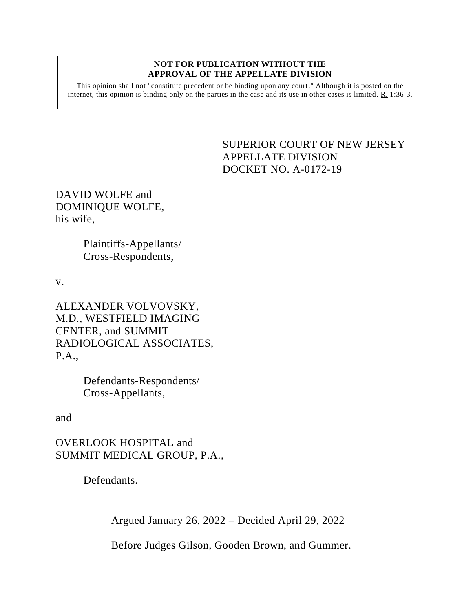#### **NOT FOR PUBLICATION WITHOUT THE APPROVAL OF THE APPELLATE DIVISION**

This opinion shall not "constitute precedent or be binding upon any court." Although it is posted on the internet, this opinion is binding only on the parties in the case and its use in other cases is limited. R. 1:36-3.

> <span id="page-0-0"></span>SUPERIOR COURT OF NEW JERSEY APPELLATE DIVISION DOCKET NO. A-0172-19

DAVID WOLFE and DOMINIQUE WOLFE, his wife,

> Plaintiffs-Appellants/ Cross-Respondents,

v.

ALEXANDER VOLVOVSKY, M.D., WESTFIELD IMAGING CENTER, and SUMMIT RADIOLOGICAL ASSOCIATES, P.A.,

> Defendants-Respondents/ Cross-Appellants,

and

OVERLOOK HOSPITAL and SUMMIT MEDICAL GROUP, P.A.,

\_\_\_\_\_\_\_\_\_\_\_\_\_\_\_\_\_\_\_\_\_\_\_\_\_\_\_\_\_\_\_\_

Defendants.

Argued January 26, 2022 – Decided April 29, 2022

Before Judges Gilson, Gooden Brown, and Gummer.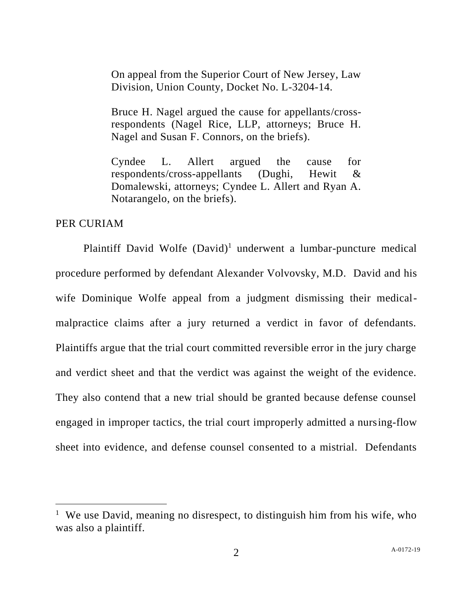On appeal from the Superior Court of New Jersey, Law Division, Union County, Docket No. L-3204-14.

Bruce H. Nagel argued the cause for appellants/crossrespondents (Nagel Rice, LLP, attorneys; Bruce H. Nagel and Susan F. Connors, on the briefs).

Cyndee L. Allert argued the cause for respondents/cross-appellants (Dughi, Hewit & Domalewski, attorneys; Cyndee L. Allert and Ryan A. Notarangelo, on the briefs).

## PER CURIAM

Plaintiff David Wolfe (David)<sup>1</sup> underwent a lumbar-puncture medical procedure performed by defendant Alexander Volvovsky, M.D. David and his wife Dominique Wolfe appeal from a judgment dismissing their medicalmalpractice claims after a jury returned a verdict in favor of defendants. Plaintiffs argue that the trial court committed reversible error in the jury charge and verdict sheet and that the verdict was against the weight of the evidence. They also contend that a new trial should be granted because defense counsel engaged in improper tactics, the trial court improperly admitted a nursing-flow sheet into evidence, and defense counsel consented to a mistrial. Defendants

<sup>&</sup>lt;sup>1</sup> We use David, meaning no disrespect, to distinguish him from his wife, who was also a plaintiff.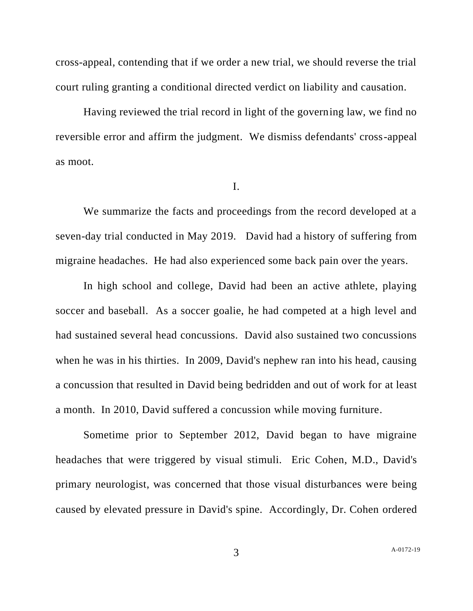cross-appeal, contending that if we order a new trial, we should reverse the trial court ruling granting a conditional directed verdict on liability and causation.

Having reviewed the trial record in light of the governing law, we find no reversible error and affirm the judgment. We dismiss defendants' cross-appeal as moot.

I.

We summarize the facts and proceedings from the record developed at a seven-day trial conducted in May 2019. David had a history of suffering from migraine headaches. He had also experienced some back pain over the years.

In high school and college, David had been an active athlete, playing soccer and baseball. As a soccer goalie, he had competed at a high level and had sustained several head concussions. David also sustained two concussions when he was in his thirties. In 2009, David's nephew ran into his head, causing a concussion that resulted in David being bedridden and out of work for at least a month. In 2010, David suffered a concussion while moving furniture.

Sometime prior to September 2012, David began to have migraine headaches that were triggered by visual stimuli. Eric Cohen, M.D., David's primary neurologist, was concerned that those visual disturbances were being caused by elevated pressure in David's spine. Accordingly, Dr. Cohen ordered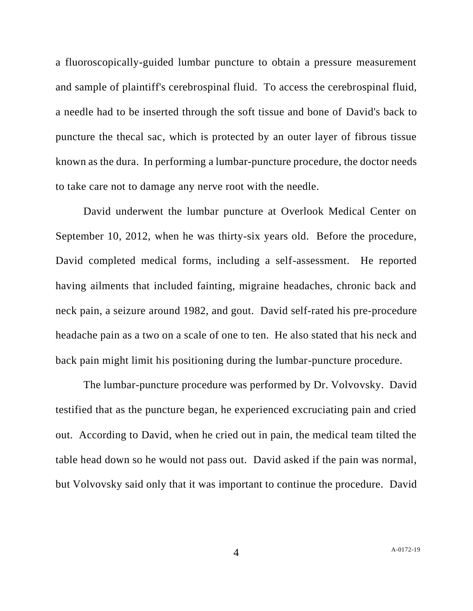a fluoroscopically-guided lumbar puncture to obtain a pressure measurement and sample of plaintiff's cerebrospinal fluid. To access the cerebrospinal fluid, a needle had to be inserted through the soft tissue and bone of David's back to puncture the thecal sac, which is protected by an outer layer of fibrous tissue known as the dura. In performing a lumbar-puncture procedure, the doctor needs to take care not to damage any nerve root with the needle.

David underwent the lumbar puncture at Overlook Medical Center on September 10, 2012, when he was thirty-six years old. Before the procedure, David completed medical forms, including a self-assessment. He reported having ailments that included fainting, migraine headaches, chronic back and neck pain, a seizure around 1982, and gout. David self-rated his pre-procedure headache pain as a two on a scale of one to ten. He also stated that his neck and back pain might limit his positioning during the lumbar-puncture procedure.

The lumbar-puncture procedure was performed by Dr. Volvovsky. David testified that as the puncture began, he experienced excruciating pain and cried out. According to David, when he cried out in pain, the medical team tilted the table head down so he would not pass out. David asked if the pain was normal, but Volvovsky said only that it was important to continue the procedure. David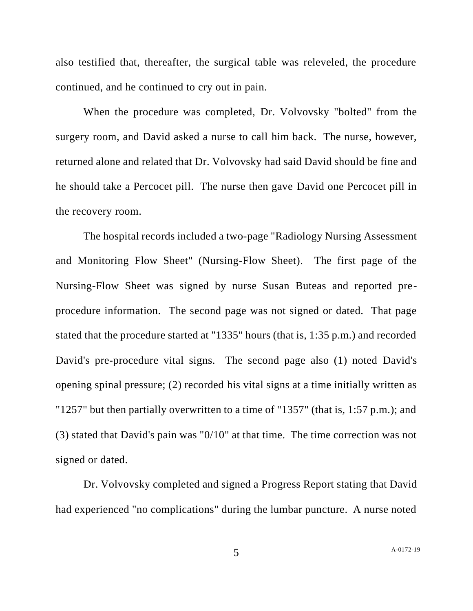also testified that, thereafter, the surgical table was releveled, the procedure continued, and he continued to cry out in pain.

When the procedure was completed, Dr. Volvovsky "bolted" from the surgery room, and David asked a nurse to call him back. The nurse, however, returned alone and related that Dr. Volvovsky had said David should be fine and he should take a Percocet pill. The nurse then gave David one Percocet pill in the recovery room.

The hospital records included a two-page "Radiology Nursing Assessment and Monitoring Flow Sheet" (Nursing-Flow Sheet). The first page of the Nursing-Flow Sheet was signed by nurse Susan Buteas and reported preprocedure information. The second page was not signed or dated. That page stated that the procedure started at "1335" hours (that is, 1:35 p.m.) and recorded David's pre-procedure vital signs. The second page also (1) noted David's opening spinal pressure; (2) recorded his vital signs at a time initially written as "1257" but then partially overwritten to a time of "1357" (that is, 1:57 p.m.); and (3) stated that David's pain was "0/10" at that time. The time correction was not signed or dated.

Dr. Volvovsky completed and signed a Progress Report stating that David had experienced "no complications" during the lumbar puncture. A nurse noted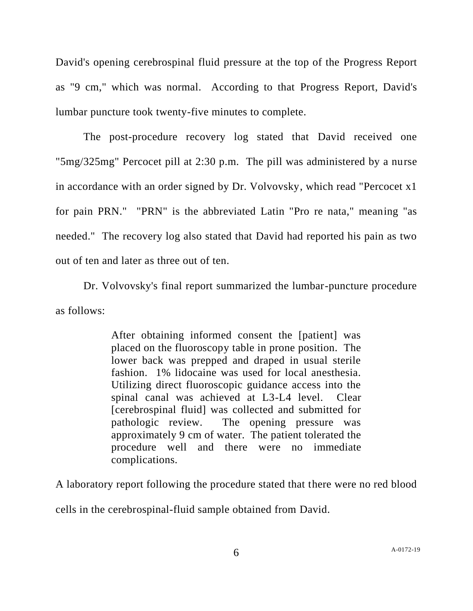David's opening cerebrospinal fluid pressure at the top of the Progress Report as "9 cm," which was normal. According to that Progress Report, David's lumbar puncture took twenty-five minutes to complete.

The post-procedure recovery log stated that David received one "5mg/325mg" Percocet pill at 2:30 p.m. The pill was administered by a nurse in accordance with an order signed by Dr. Volvovsky, which read "Percocet x1 for pain PRN." "PRN" is the abbreviated Latin "Pro re nata," meaning "as needed." The recovery log also stated that David had reported his pain as two out of ten and later as three out of ten.

Dr. Volvovsky's final report summarized the lumbar-puncture procedure as follows:

> After obtaining informed consent the [patient] was placed on the fluoroscopy table in prone position. The lower back was prepped and draped in usual sterile fashion. 1% lidocaine was used for local anesthesia. Utilizing direct fluoroscopic guidance access into the spinal canal was achieved at L3-L4 level. Clear [cerebrospinal fluid] was collected and submitted for pathologic review. The opening pressure was approximately 9 cm of water. The patient tolerated the procedure well and there were no immediate complications.

A laboratory report following the procedure stated that there were no red blood cells in the cerebrospinal-fluid sample obtained from David.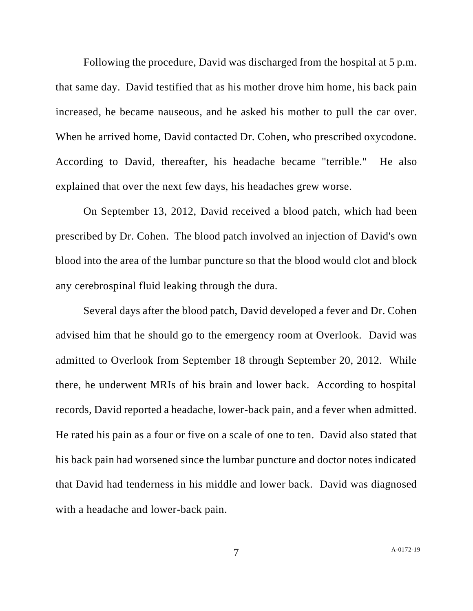Following the procedure, David was discharged from the hospital at 5 p.m. that same day. David testified that as his mother drove him home, his back pain increased, he became nauseous, and he asked his mother to pull the car over. When he arrived home, David contacted Dr. Cohen, who prescribed oxycodone. According to David, thereafter, his headache became "terrible." He also explained that over the next few days, his headaches grew worse.

On September 13, 2012, David received a blood patch, which had been prescribed by Dr. Cohen. The blood patch involved an injection of David's own blood into the area of the lumbar puncture so that the blood would clot and block any cerebrospinal fluid leaking through the dura.

Several days after the blood patch, David developed a fever and Dr. Cohen advised him that he should go to the emergency room at Overlook. David was admitted to Overlook from September 18 through September 20, 2012. While there, he underwent MRIs of his brain and lower back. According to hospital records, David reported a headache, lower-back pain, and a fever when admitted. He rated his pain as a four or five on a scale of one to ten. David also stated that his back pain had worsened since the lumbar puncture and doctor notes indicated that David had tenderness in his middle and lower back. David was diagnosed with a headache and lower-back pain.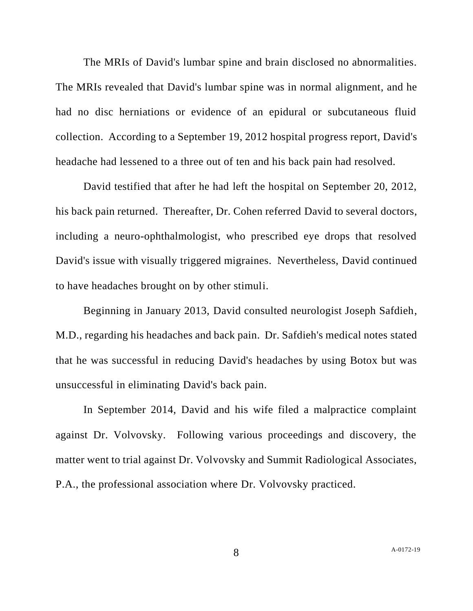The MRIs of David's lumbar spine and brain disclosed no abnormalities. The MRIs revealed that David's lumbar spine was in normal alignment, and he had no disc herniations or evidence of an epidural or subcutaneous fluid collection. According to a September 19, 2012 hospital progress report, David's headache had lessened to a three out of ten and his back pain had resolved.

David testified that after he had left the hospital on September 20, 2012, his back pain returned. Thereafter, Dr. Cohen referred David to several doctors, including a neuro-ophthalmologist, who prescribed eye drops that resolved David's issue with visually triggered migraines. Nevertheless, David continued to have headaches brought on by other stimuli.

Beginning in January 2013, David consulted neurologist Joseph Safdieh, M.D., regarding his headaches and back pain. Dr. Safdieh's medical notes stated that he was successful in reducing David's headaches by using Botox but was unsuccessful in eliminating David's back pain.

In September 2014, David and his wife filed a malpractice complaint against Dr. Volvovsky. Following various proceedings and discovery, the matter went to trial against Dr. Volvovsky and Summit Radiological Associates, P.A., the professional association where Dr. Volvovsky practiced.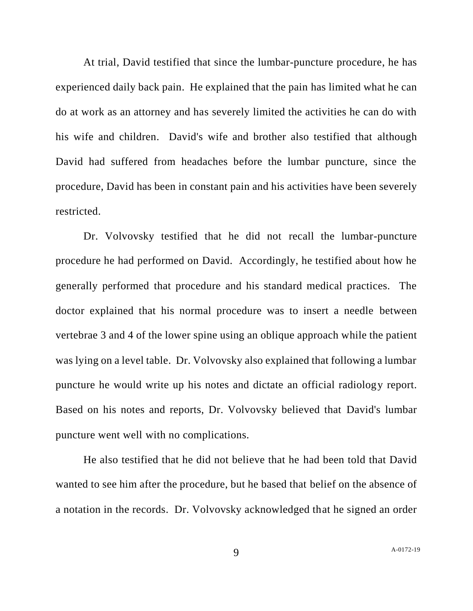At trial, David testified that since the lumbar-puncture procedure, he has experienced daily back pain. He explained that the pain has limited what he can do at work as an attorney and has severely limited the activities he can do with his wife and children. David's wife and brother also testified that although David had suffered from headaches before the lumbar puncture, since the procedure, David has been in constant pain and his activities have been severely restricted.

Dr. Volvovsky testified that he did not recall the lumbar-puncture procedure he had performed on David. Accordingly, he testified about how he generally performed that procedure and his standard medical practices. The doctor explained that his normal procedure was to insert a needle between vertebrae 3 and 4 of the lower spine using an oblique approach while the patient was lying on a level table. Dr. Volvovsky also explained that following a lumbar puncture he would write up his notes and dictate an official radiology report. Based on his notes and reports, Dr. Volvovsky believed that David's lumbar puncture went well with no complications.

He also testified that he did not believe that he had been told that David wanted to see him after the procedure, but he based that belief on the absence of a notation in the records. Dr. Volvovsky acknowledged that he signed an order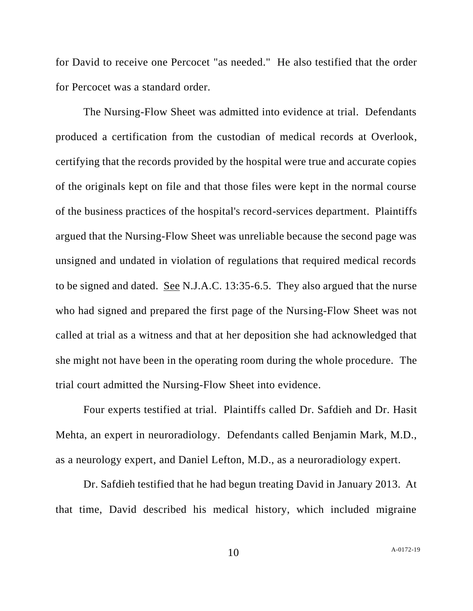for David to receive one Percocet "as needed." He also testified that the order for Percocet was a standard order.

The Nursing-Flow Sheet was admitted into evidence at trial. Defendants produced a certification from the custodian of medical records at Overlook, certifying that the records provided by the hospital were true and accurate copies of the originals kept on file and that those files were kept in the normal course of the business practices of the hospital's record-services department. Plaintiffs argued that the Nursing-Flow Sheet was unreliable because the second page was unsigned and undated in violation of regulations that required medical records to be signed and dated. See N.J.A.C. 13:35-6.5. They also argued that the nurse who had signed and prepared the first page of the Nursing-Flow Sheet was not called at trial as a witness and that at her deposition she had acknowledged that she might not have been in the operating room during the whole procedure. The trial court admitted the Nursing-Flow Sheet into evidence.

Four experts testified at trial. Plaintiffs called Dr. Safdieh and Dr. Hasit Mehta, an expert in neuroradiology. Defendants called Benjamin Mark, M.D., as a neurology expert, and Daniel Lefton, M.D., as a neuroradiology expert.

Dr. Safdieh testified that he had begun treating David in January 2013. At that time, David described his medical history, which included migraine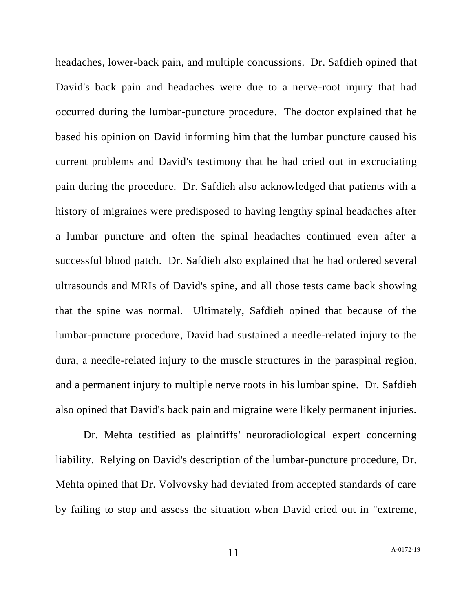headaches, lower-back pain, and multiple concussions. Dr. Safdieh opined that David's back pain and headaches were due to a nerve-root injury that had occurred during the lumbar-puncture procedure. The doctor explained that he based his opinion on David informing him that the lumbar puncture caused his current problems and David's testimony that he had cried out in excruciating pain during the procedure. Dr. Safdieh also acknowledged that patients with a history of migraines were predisposed to having lengthy spinal headaches after a lumbar puncture and often the spinal headaches continued even after a successful blood patch. Dr. Safdieh also explained that he had ordered several ultrasounds and MRIs of David's spine, and all those tests came back showing that the spine was normal. Ultimately, Safdieh opined that because of the lumbar-puncture procedure, David had sustained a needle-related injury to the dura, a needle-related injury to the muscle structures in the paraspinal region, and a permanent injury to multiple nerve roots in his lumbar spine. Dr. Safdieh also opined that David's back pain and migraine were likely permanent injuries.

Dr. Mehta testified as plaintiffs' neuroradiological expert concerning liability. Relying on David's description of the lumbar-puncture procedure, Dr. Mehta opined that Dr. Volvovsky had deviated from accepted standards of care by failing to stop and assess the situation when David cried out in "extreme,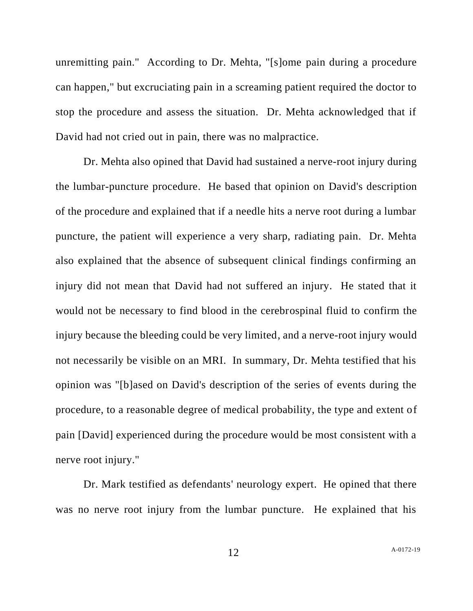unremitting pain." According to Dr. Mehta, "[s]ome pain during a procedure can happen," but excruciating pain in a screaming patient required the doctor to stop the procedure and assess the situation. Dr. Mehta acknowledged that if David had not cried out in pain, there was no malpractice.

Dr. Mehta also opined that David had sustained a nerve-root injury during the lumbar-puncture procedure. He based that opinion on David's description of the procedure and explained that if a needle hits a nerve root during a lumbar puncture, the patient will experience a very sharp, radiating pain. Dr. Mehta also explained that the absence of subsequent clinical findings confirming an injury did not mean that David had not suffered an injury. He stated that it would not be necessary to find blood in the cerebrospinal fluid to confirm the injury because the bleeding could be very limited, and a nerve-root injury would not necessarily be visible on an MRI. In summary, Dr. Mehta testified that his opinion was "[b]ased on David's description of the series of events during the procedure, to a reasonable degree of medical probability, the type and extent of pain [David] experienced during the procedure would be most consistent with a nerve root injury."

Dr. Mark testified as defendants' neurology expert. He opined that there was no nerve root injury from the lumbar puncture. He explained that his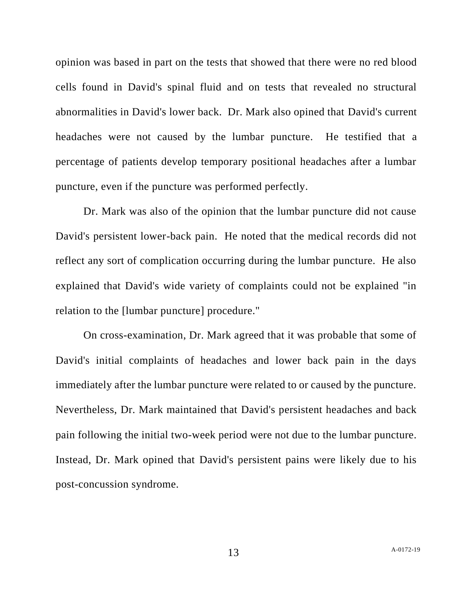opinion was based in part on the tests that showed that there were no red blood cells found in David's spinal fluid and on tests that revealed no structural abnormalities in David's lower back. Dr. Mark also opined that David's current headaches were not caused by the lumbar puncture. He testified that a percentage of patients develop temporary positional headaches after a lumbar puncture, even if the puncture was performed perfectly.

Dr. Mark was also of the opinion that the lumbar puncture did not cause David's persistent lower-back pain. He noted that the medical records did not reflect any sort of complication occurring during the lumbar puncture. He also explained that David's wide variety of complaints could not be explained "in relation to the [lumbar puncture] procedure."

On cross-examination, Dr. Mark agreed that it was probable that some of David's initial complaints of headaches and lower back pain in the days immediately after the lumbar puncture were related to or caused by the puncture. Nevertheless, Dr. Mark maintained that David's persistent headaches and back pain following the initial two-week period were not due to the lumbar puncture. Instead, Dr. Mark opined that David's persistent pains were likely due to his post-concussion syndrome.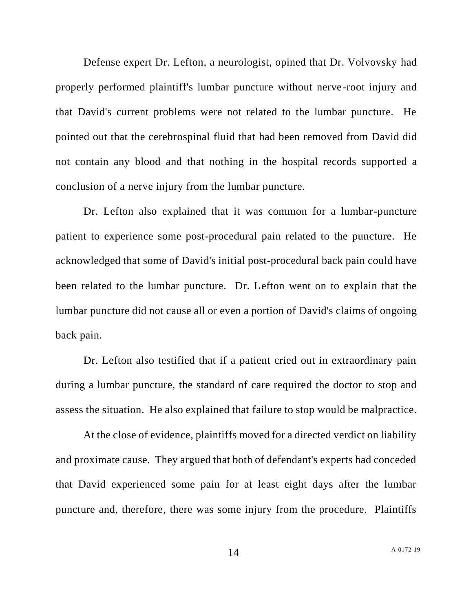Defense expert Dr. Lefton, a neurologist, opined that Dr. Volvovsky had properly performed plaintiff's lumbar puncture without nerve-root injury and that David's current problems were not related to the lumbar puncture. He pointed out that the cerebrospinal fluid that had been removed from David did not contain any blood and that nothing in the hospital records supported a conclusion of a nerve injury from the lumbar puncture.

Dr. Lefton also explained that it was common for a lumbar-puncture patient to experience some post-procedural pain related to the puncture. He acknowledged that some of David's initial post-procedural back pain could have been related to the lumbar puncture. Dr. Lefton went on to explain that the lumbar puncture did not cause all or even a portion of David's claims of ongoing back pain.

Dr. Lefton also testified that if a patient cried out in extraordinary pain during a lumbar puncture, the standard of care required the doctor to stop and assess the situation. He also explained that failure to stop would be malpractice.

At the close of evidence, plaintiffs moved for a directed verdict on liability and proximate cause. They argued that both of defendant's experts had conceded that David experienced some pain for at least eight days after the lumbar puncture and, therefore, there was some injury from the procedure. Plaintiffs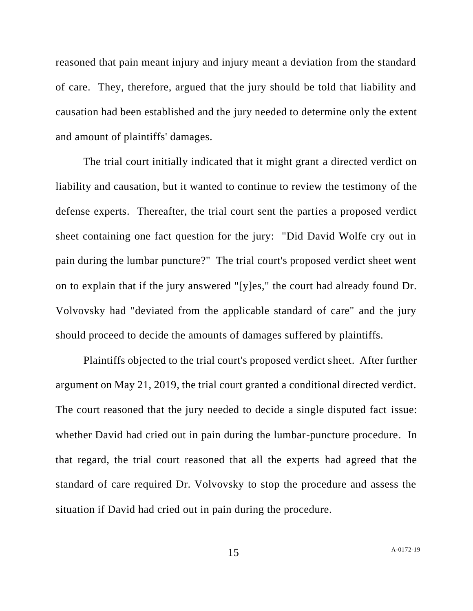reasoned that pain meant injury and injury meant a deviation from the standard of care. They, therefore, argued that the jury should be told that liability and causation had been established and the jury needed to determine only the extent and amount of plaintiffs' damages.

The trial court initially indicated that it might grant a directed verdict on liability and causation, but it wanted to continue to review the testimony of the defense experts. Thereafter, the trial court sent the parties a proposed verdict sheet containing one fact question for the jury: "Did David Wolfe cry out in pain during the lumbar puncture?" The trial court's proposed verdict sheet went on to explain that if the jury answered "[y]es," the court had already found Dr. Volvovsky had "deviated from the applicable standard of care" and the jury should proceed to decide the amounts of damages suffered by plaintiffs.

Plaintiffs objected to the trial court's proposed verdict sheet. After further argument on May 21, 2019, the trial court granted a conditional directed verdict. The court reasoned that the jury needed to decide a single disputed fact issue: whether David had cried out in pain during the lumbar-puncture procedure. In that regard, the trial court reasoned that all the experts had agreed that the standard of care required Dr. Volvovsky to stop the procedure and assess the situation if David had cried out in pain during the procedure.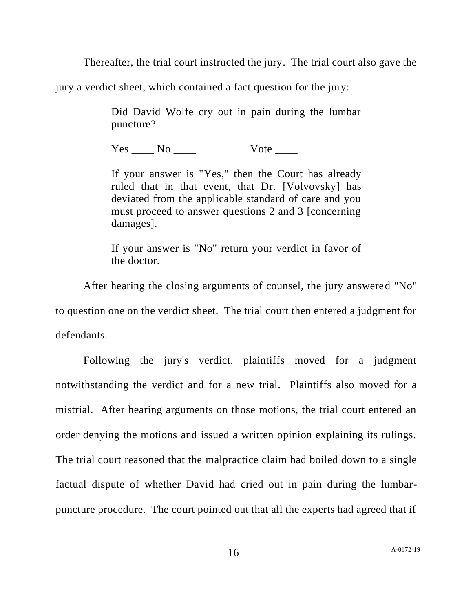Thereafter, the trial court instructed the jury. The trial court also gave the

jury a verdict sheet, which contained a fact question for the jury:

Did David Wolfe cry out in pain during the lumbar puncture?

Yes No Vote

If your answer is "Yes," then the Court has already ruled that in that event, that Dr. [Volvovsky] has deviated from the applicable standard of care and you must proceed to answer questions 2 and 3 [concerning damages].

If your answer is "No" return your verdict in favor of the doctor.

After hearing the closing arguments of counsel, the jury answered "No" to question one on the verdict sheet. The trial court then entered a judgment for defendants.

Following the jury's verdict, plaintiffs moved for a judgment notwithstanding the verdict and for a new trial. Plaintiffs also moved for a mistrial. After hearing arguments on those motions, the trial court entered an order denying the motions and issued a written opinion explaining its rulings. The trial court reasoned that the malpractice claim had boiled down to a single factual dispute of whether David had cried out in pain during the lumbarpuncture procedure. The court pointed out that all the experts had agreed that if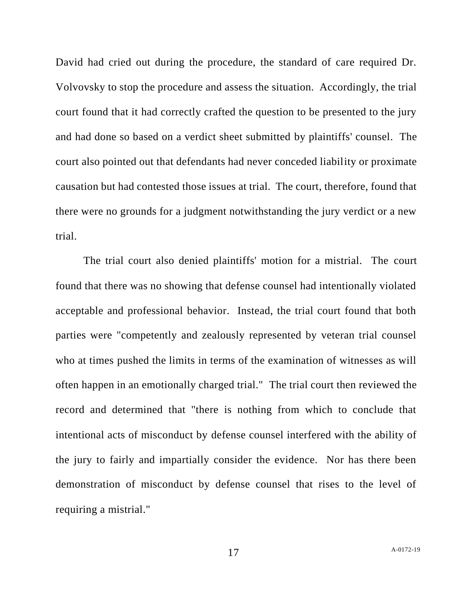David had cried out during the procedure, the standard of care required Dr. Volvovsky to stop the procedure and assess the situation. Accordingly, the trial court found that it had correctly crafted the question to be presented to the jury and had done so based on a verdict sheet submitted by plaintiffs' counsel. The court also pointed out that defendants had never conceded liability or proximate causation but had contested those issues at trial. The court, therefore, found that there were no grounds for a judgment notwithstanding the jury verdict or a new trial.

The trial court also denied plaintiffs' motion for a mistrial. The court found that there was no showing that defense counsel had intentionally violated acceptable and professional behavior. Instead, the trial court found that both parties were "competently and zealously represented by veteran trial counsel who at times pushed the limits in terms of the examination of witnesses as will often happen in an emotionally charged trial." The trial court then reviewed the record and determined that "there is nothing from which to conclude that intentional acts of misconduct by defense counsel interfered with the ability of the jury to fairly and impartially consider the evidence. Nor has there been demonstration of misconduct by defense counsel that rises to the level of requiring a mistrial."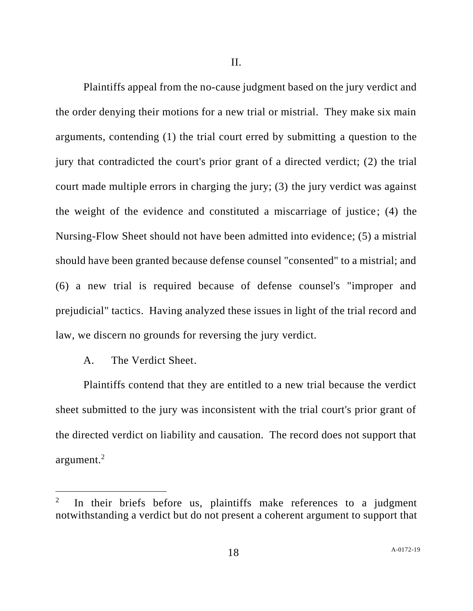II.

Plaintiffs appeal from the no-cause judgment based on the jury verdict and the order denying their motions for a new trial or mistrial. They make six main arguments, contending (1) the trial court erred by submitting a question to the jury that contradicted the court's prior grant of a directed verdict; (2) the trial court made multiple errors in charging the jury; (3) the jury verdict was against the weight of the evidence and constituted a miscarriage of justice; (4) the Nursing-Flow Sheet should not have been admitted into evidence; (5) a mistrial should have been granted because defense counsel "consented" to a mistrial; and (6) a new trial is required because of defense counsel's "improper and prejudicial" tactics. Having analyzed these issues in light of the trial record and law, we discern no grounds for reversing the jury verdict.

# A. The Verdict Sheet.

Plaintiffs contend that they are entitled to a new trial because the verdict sheet submitted to the jury was inconsistent with the trial court's prior grant of the directed verdict on liability and causation. The record does not support that argument. $2$ 

<sup>2</sup> In their briefs before us, plaintiffs make references to a judgment notwithstanding a verdict but do not present a coherent argument to support that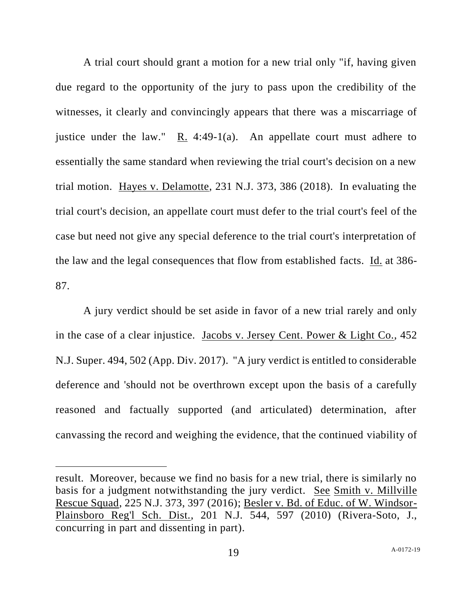A trial court should grant a motion for a new trial only "if, having given due regard to the opportunity of the jury to pass upon the credibility of the witnesses, it clearly and convincingly appears that there was a miscarriage of justice under the law." R. 4:49-1(a). An appellate court must adhere to essentially the same standard when reviewing the trial court's decision on a new trial motion. Hayes v. Delamotte, 231 N.J. 373, 386 (2018). In evaluating the trial court's decision, an appellate court must defer to the trial court's feel of the case but need not give any special deference to the trial court's interpretation of the law and the legal consequences that flow from established facts. Id. at 386- 87.

A jury verdict should be set aside in favor of a new trial rarely and only in the case of a clear injustice. Jacobs v. Jersey Cent. Power & Light Co., 452 N.J. Super. 494, 502 (App. Div. 2017). "A jury verdict is entitled to considerable deference and 'should not be overthrown except upon the basis of a carefully reasoned and factually supported (and articulated) determination, after canvassing the record and weighing the evidence, that the continued viability of

result. Moreover, because we find no basis for a new trial, there is similarly no basis for a judgment notwithstanding the jury verdict. See Smith v. Millville Rescue Squad, 225 N.J. 373, 397 (2016); Besler v. Bd. of Educ. of W. Windsor-Plainsboro Reg'l Sch. Dist., 201 N.J. 544, 597 (2010) (Rivera-Soto, J., concurring in part and dissenting in part).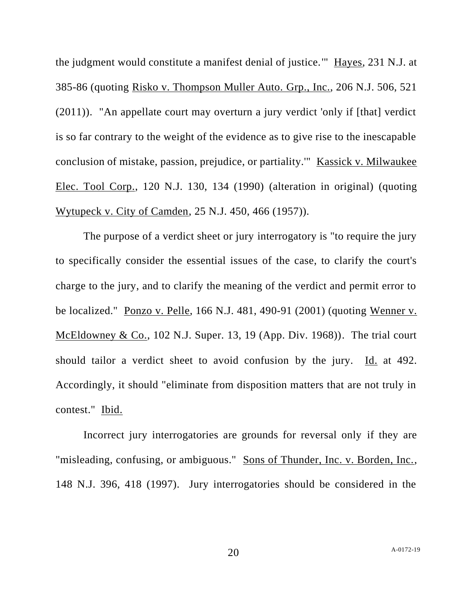the judgment would constitute a manifest denial of justice.'" Hayes, 231 N.J. at 385-86 (quoting Risko v. Thompson Muller Auto. Grp., Inc., 206 N.J. 506, 521 (2011)). "An appellate court may overturn a jury verdict 'only if [that] verdict is so far contrary to the weight of the evidence as to give rise to the inescapable conclusion of mistake, passion, prejudice, or partiality.'" Kassick v. Milwaukee Elec. Tool Corp., 120 N.J. 130, 134 (1990) (alteration in original) (quoting Wytupeck v. City of Camden, 25 N.J. 450, 466 (1957)).

The purpose of a verdict sheet or jury interrogatory is "to require the jury to specifically consider the essential issues of the case, to clarify the court's charge to the jury, and to clarify the meaning of the verdict and permit error to be localized." Ponzo v. Pelle, 166 N.J. 481, 490-91 (2001) (quoting Wenner v. McEldowney & Co., 102 N.J. Super. 13, 19 (App. Div. 1968)). The trial court should tailor a verdict sheet to avoid confusion by the jury. Id. at 492. Accordingly, it should "eliminate from disposition matters that are not truly in contest." Ibid.

Incorrect jury interrogatories are grounds for reversal only if they are "misleading, confusing, or ambiguous." Sons of Thunder, Inc. v. Borden, Inc., 148 N.J. 396, 418 (1997). Jury interrogatories should be considered in the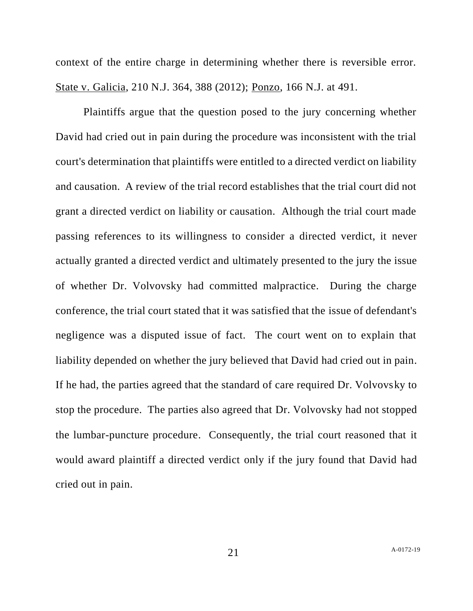context of the entire charge in determining whether there is reversible error. State v. Galicia, 210 N.J. 364, 388 (2012); Ponzo, 166 N.J. at 491.

Plaintiffs argue that the question posed to the jury concerning whether David had cried out in pain during the procedure was inconsistent with the trial court's determination that plaintiffs were entitled to a directed verdict on liability and causation. A review of the trial record establishes that the trial court did not grant a directed verdict on liability or causation. Although the trial court made passing references to its willingness to consider a directed verdict, it never actually granted a directed verdict and ultimately presented to the jury the issue of whether Dr. Volvovsky had committed malpractice. During the charge conference, the trial court stated that it was satisfied that the issue of defendant's negligence was a disputed issue of fact. The court went on to explain that liability depended on whether the jury believed that David had cried out in pain. If he had, the parties agreed that the standard of care required Dr. Volvovsky to stop the procedure. The parties also agreed that Dr. Volvovsky had not stopped the lumbar-puncture procedure. Consequently, the trial court reasoned that it would award plaintiff a directed verdict only if the jury found that David had cried out in pain.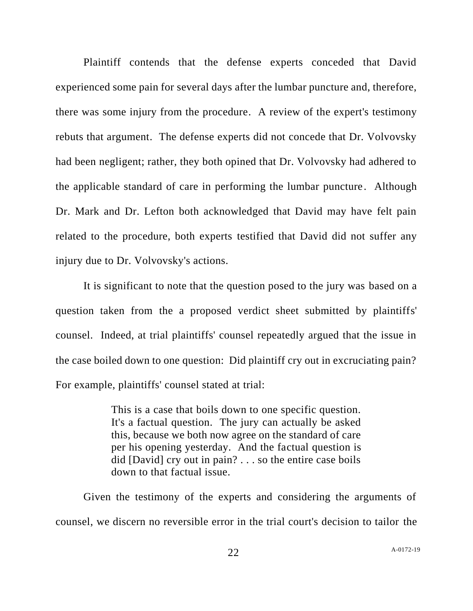Plaintiff contends that the defense experts conceded that David experienced some pain for several days after the lumbar puncture and, therefore, there was some injury from the procedure. A review of the expert's testimony rebuts that argument. The defense experts did not concede that Dr. Volvovsky had been negligent; rather, they both opined that Dr. Volvovsky had adhered to the applicable standard of care in performing the lumbar puncture. Although Dr. Mark and Dr. Lefton both acknowledged that David may have felt pain related to the procedure, both experts testified that David did not suffer any injury due to Dr. Volvovsky's actions.

It is significant to note that the question posed to the jury was based on a question taken from the a proposed verdict sheet submitted by plaintiffs' counsel. Indeed, at trial plaintiffs' counsel repeatedly argued that the issue in the case boiled down to one question: Did plaintiff cry out in excruciating pain? For example, plaintiffs' counsel stated at trial:

> This is a case that boils down to one specific question. It's a factual question. The jury can actually be asked this, because we both now agree on the standard of care per his opening yesterday. And the factual question is did [David] cry out in pain? . . . so the entire case boils down to that factual issue.

Given the testimony of the experts and considering the arguments of counsel, we discern no reversible error in the trial court's decision to tailor the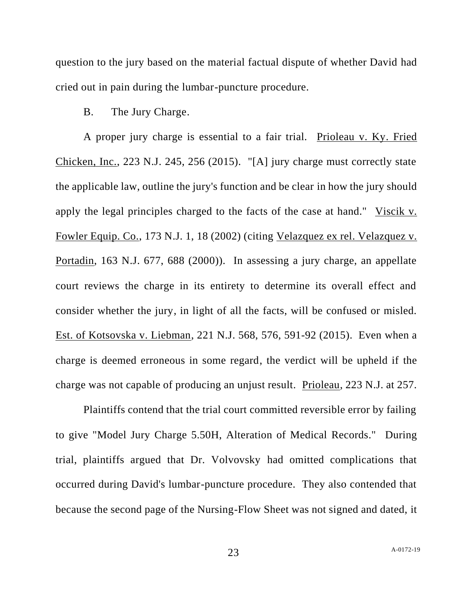question to the jury based on the material factual dispute of whether David had cried out in pain during the lumbar-puncture procedure.

B. The Jury Charge.

A proper jury charge is essential to a fair trial. Prioleau v. Ky. Fried Chicken, Inc., 223 N.J. 245, 256 (2015). "[A] jury charge must correctly state the applicable law, outline the jury's function and be clear in how the jury should apply the legal principles charged to the facts of the case at hand." Viscik v. Fowler Equip. Co., 173 N.J. 1, 18 (2002) (citing Velazquez ex rel. Velazquez v. Portadin, 163 N.J. 677, 688 (2000)). In assessing a jury charge, an appellate court reviews the charge in its entirety to determine its overall effect and consider whether the jury, in light of all the facts, will be confused or misled. Est. of Kotsovska v. Liebman, 221 N.J. 568, 576, 591-92 (2015). Even when a charge is deemed erroneous in some regard, the verdict will be upheld if the charge was not capable of producing an unjust result. Prioleau, 223 N.J. at 257.

Plaintiffs contend that the trial court committed reversible error by failing to give "Model Jury Charge 5.50H, Alteration of Medical Records." During trial, plaintiffs argued that Dr. Volvovsky had omitted complications that occurred during David's lumbar-puncture procedure. They also contended that because the second page of the Nursing-Flow Sheet was not signed and dated, it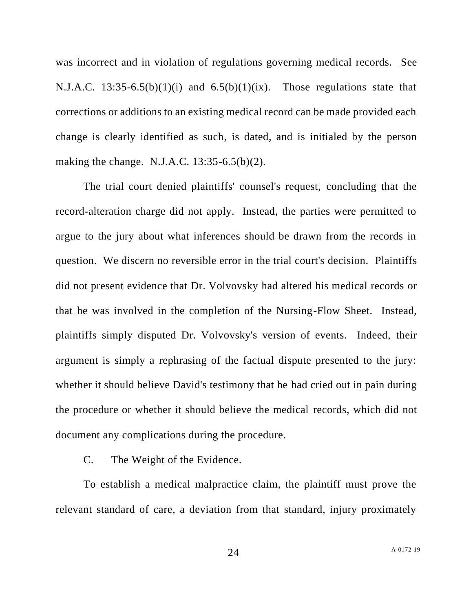was incorrect and in violation of regulations governing medical records. See N.J.A.C. 13:35-6.5(b)(1)(i) and  $6.5(b)(1)(ix)$ . Those regulations state that corrections or additions to an existing medical record can be made provided each change is clearly identified as such, is dated, and is initialed by the person making the change. N.J.A.C. 13:35-6.5(b)(2).

The trial court denied plaintiffs' counsel's request, concluding that the record-alteration charge did not apply. Instead, the parties were permitted to argue to the jury about what inferences should be drawn from the records in question. We discern no reversible error in the trial court's decision. Plaintiffs did not present evidence that Dr. Volvovsky had altered his medical records or that he was involved in the completion of the Nursing-Flow Sheet. Instead, plaintiffs simply disputed Dr. Volvovsky's version of events. Indeed, their argument is simply a rephrasing of the factual dispute presented to the jury: whether it should believe David's testimony that he had cried out in pain during the procedure or whether it should believe the medical records, which did not document any complications during the procedure.

C. The Weight of the Evidence.

To establish a medical malpractice claim, the plaintiff must prove the relevant standard of care, a deviation from that standard, injury proximately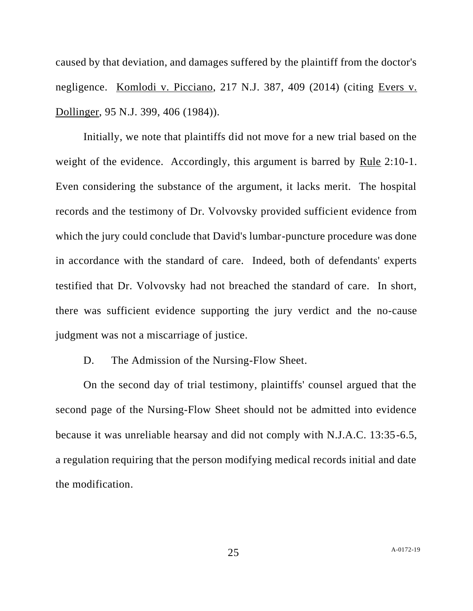caused by that deviation, and damages suffered by the plaintiff from the doctor's negligence. Komlodi v. Picciano, 217 N.J. 387, 409 (2014) (citing Evers v. Dollinger, 95 N.J. 399, 406 (1984)).

Initially, we note that plaintiffs did not move for a new trial based on the weight of the evidence. Accordingly, this argument is barred by Rule 2:10-1. Even considering the substance of the argument, it lacks merit. The hospital records and the testimony of Dr. Volvovsky provided sufficient evidence from which the jury could conclude that David's lumbar-puncture procedure was done in accordance with the standard of care. Indeed, both of defendants' experts testified that Dr. Volvovsky had not breached the standard of care. In short, there was sufficient evidence supporting the jury verdict and the no-cause judgment was not a miscarriage of justice.

D. The Admission of the Nursing-Flow Sheet.

On the second day of trial testimony, plaintiffs' counsel argued that the second page of the Nursing-Flow Sheet should not be admitted into evidence because it was unreliable hearsay and did not comply with N.J.A.C. 13:35-6.5, a regulation requiring that the person modifying medical records initial and date the modification.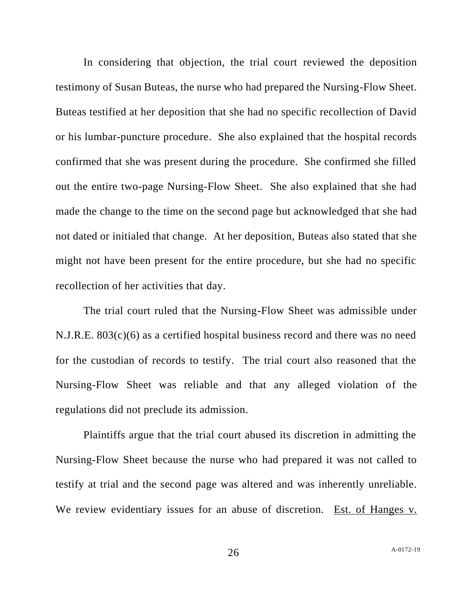In considering that objection, the trial court reviewed the deposition testimony of Susan Buteas, the nurse who had prepared the Nursing-Flow Sheet. Buteas testified at her deposition that she had no specific recollection of David or his lumbar-puncture procedure. She also explained that the hospital records confirmed that she was present during the procedure. She confirmed she filled out the entire two-page Nursing-Flow Sheet. She also explained that she had made the change to the time on the second page but acknowledged that she had not dated or initialed that change. At her deposition, Buteas also stated that she might not have been present for the entire procedure, but she had no specific recollection of her activities that day.

The trial court ruled that the Nursing-Flow Sheet was admissible under N.J.R.E. 803(c)(6) as a certified hospital business record and there was no need for the custodian of records to testify. The trial court also reasoned that the Nursing-Flow Sheet was reliable and that any alleged violation of the regulations did not preclude its admission.

Plaintiffs argue that the trial court abused its discretion in admitting the Nursing-Flow Sheet because the nurse who had prepared it was not called to testify at trial and the second page was altered and was inherently unreliable. We review evidentiary issues for an abuse of discretion. Est. of Hanges v.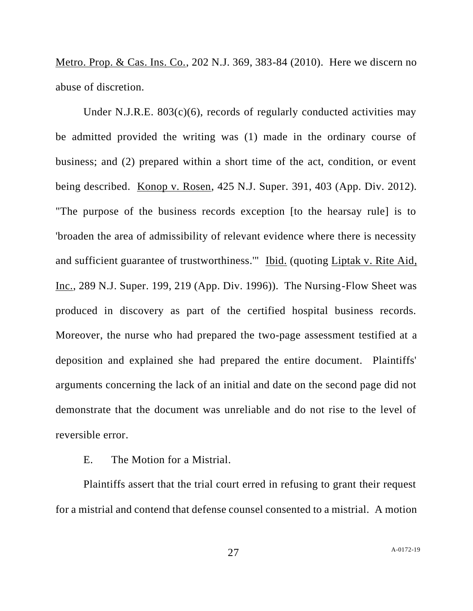Metro. Prop. & Cas. Ins. Co., 202 N.J. 369, 383-84 (2010). Here we discern no abuse of discretion.

Under N.J.R.E.  $803(c)(6)$ , records of regularly conducted activities may be admitted provided the writing was (1) made in the ordinary course of business; and (2) prepared within a short time of the act, condition, or event being described. Konop v. Rosen, 425 N.J. Super. 391, 403 (App. Div. 2012). "The purpose of the business records exception [to the hearsay rule] is to 'broaden the area of admissibility of relevant evidence where there is necessity and sufficient guarantee of trustworthiness." Ibid. (quoting Liptak v. Rite Aid, Inc., 289 N.J. Super. 199, 219 (App. Div. 1996)). The Nursing-Flow Sheet was produced in discovery as part of the certified hospital business records. Moreover, the nurse who had prepared the two-page assessment testified at a deposition and explained she had prepared the entire document. Plaintiffs' arguments concerning the lack of an initial and date on the second page did not demonstrate that the document was unreliable and do not rise to the level of reversible error.

# E. The Motion for a Mistrial.

Plaintiffs assert that the trial court erred in refusing to grant their request for a mistrial and contend that defense counsel consented to a mistrial. A motion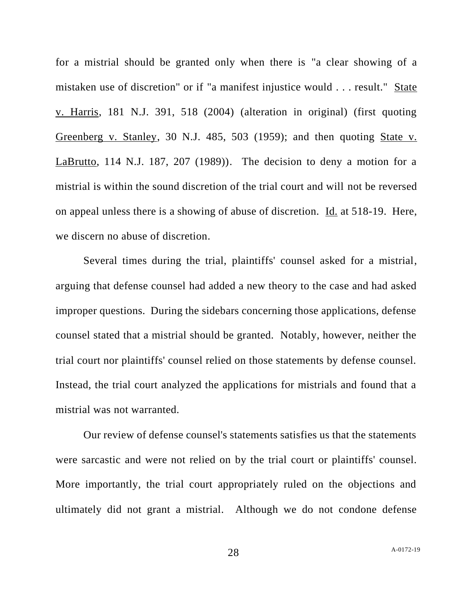for a mistrial should be granted only when there is "a clear showing of a mistaken use of discretion" or if "a manifest injustice would . . . result." State v. Harris, 181 N.J. 391, 518 (2004) (alteration in original) (first quoting Greenberg v. Stanley, 30 N.J. 485, 503 (1959); and then quoting State v. LaBrutto, 114 N.J. 187, 207 (1989)). The decision to deny a motion for a mistrial is within the sound discretion of the trial court and will not be reversed on appeal unless there is a showing of abuse of discretion. Id. at 518-19. Here, we discern no abuse of discretion.

Several times during the trial, plaintiffs' counsel asked for a mistrial, arguing that defense counsel had added a new theory to the case and had asked improper questions. During the sidebars concerning those applications, defense counsel stated that a mistrial should be granted. Notably, however, neither the trial court nor plaintiffs' counsel relied on those statements by defense counsel. Instead, the trial court analyzed the applications for mistrials and found that a mistrial was not warranted.

Our review of defense counsel's statements satisfies us that the statements were sarcastic and were not relied on by the trial court or plaintiffs' counsel. More importantly, the trial court appropriately ruled on the objections and ultimately did not grant a mistrial. Although we do not condone defense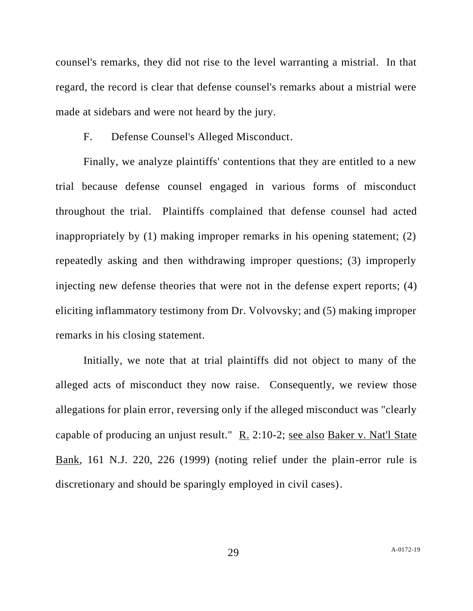counsel's remarks, they did not rise to the level warranting a mistrial. In that regard, the record is clear that defense counsel's remarks about a mistrial were made at sidebars and were not heard by the jury.

F. Defense Counsel's Alleged Misconduct.

Finally, we analyze plaintiffs' contentions that they are entitled to a new trial because defense counsel engaged in various forms of misconduct throughout the trial. Plaintiffs complained that defense counsel had acted inappropriately by (1) making improper remarks in his opening statement; (2) repeatedly asking and then withdrawing improper questions; (3) improperly injecting new defense theories that were not in the defense expert reports; (4) eliciting inflammatory testimony from Dr. Volvovsky; and (5) making improper remarks in his closing statement.

Initially, we note that at trial plaintiffs did not object to many of the alleged acts of misconduct they now raise. Consequently, we review those allegations for plain error, reversing only if the alleged misconduct was "clearly capable of producing an unjust result." R. 2:10-2; see also Baker v. Nat'l State Bank, 161 N.J. 220, 226 (1999) (noting relief under the plain-error rule is discretionary and should be sparingly employed in civil cases).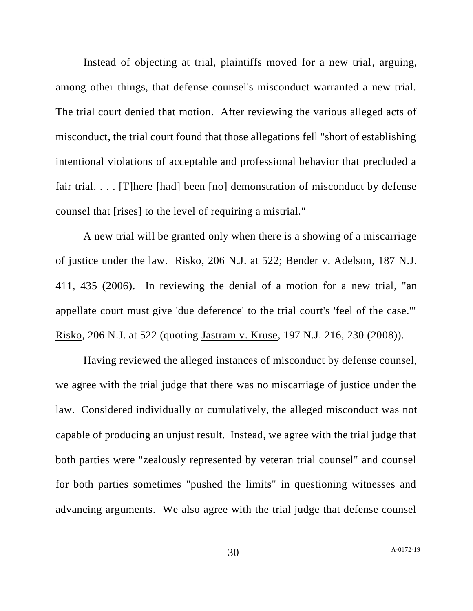Instead of objecting at trial, plaintiffs moved for a new trial, arguing, among other things, that defense counsel's misconduct warranted a new trial. The trial court denied that motion. After reviewing the various alleged acts of misconduct, the trial court found that those allegations fell "short of establishing intentional violations of acceptable and professional behavior that precluded a fair trial. . . . [T]here [had] been [no] demonstration of misconduct by defense counsel that [rises] to the level of requiring a mistrial."

A new trial will be granted only when there is a showing of a miscarriage of justice under the law. Risko, 206 N.J. at 522; Bender v. Adelson, 187 N.J. 411, 435 (2006). In reviewing the denial of a motion for a new trial, "an appellate court must give 'due deference' to the trial court's 'feel of the case.'" Risko, 206 N.J. at 522 (quoting Jastram v. Kruse, 197 N.J. 216, 230 (2008)).

Having reviewed the alleged instances of misconduct by defense counsel, we agree with the trial judge that there was no miscarriage of justice under the law. Considered individually or cumulatively, the alleged misconduct was not capable of producing an unjust result. Instead, we agree with the trial judge that both parties were "zealously represented by veteran trial counsel" and counsel for both parties sometimes "pushed the limits" in questioning witnesses and advancing arguments. We also agree with the trial judge that defense counsel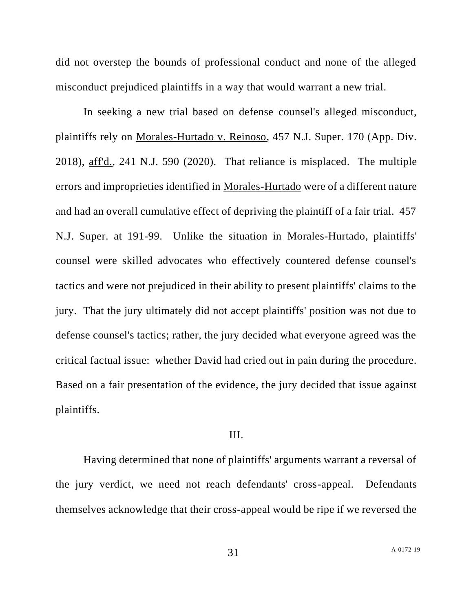did not overstep the bounds of professional conduct and none of the alleged misconduct prejudiced plaintiffs in a way that would warrant a new trial.

In seeking a new trial based on defense counsel's alleged misconduct, plaintiffs rely on Morales-Hurtado v. Reinoso, 457 N.J. Super. 170 (App. Div. 2018), aff'd., 241 N.J. 590 (2020). That reliance is misplaced. The multiple errors and improprieties identified in Morales-Hurtado were of a different nature and had an overall cumulative effect of depriving the plaintiff of a fair trial. 457 N.J. Super. at 191-99. Unlike the situation in Morales-Hurtado, plaintiffs' counsel were skilled advocates who effectively countered defense counsel's tactics and were not prejudiced in their ability to present plaintiffs' claims to the jury. That the jury ultimately did not accept plaintiffs' position was not due to defense counsel's tactics; rather, the jury decided what everyone agreed was the critical factual issue: whether David had cried out in pain during the procedure. Based on a fair presentation of the evidence, the jury decided that issue against plaintiffs.

## III.

Having determined that none of plaintiffs' arguments warrant a reversal of the jury verdict, we need not reach defendants' cross-appeal. Defendants themselves acknowledge that their cross-appeal would be ripe if we reversed the